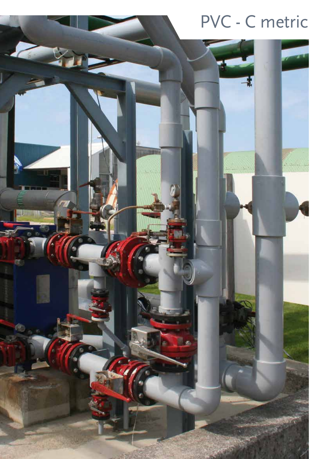## PVC - C metric

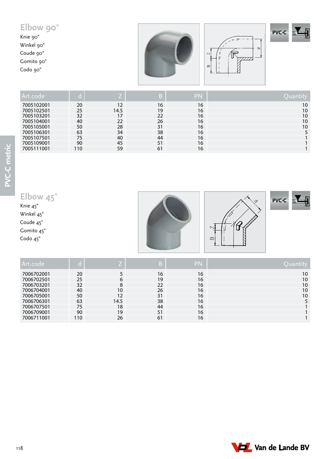#### **Elbow 90 ° PVC - C** Knie 90° Winkel 90 °  $\begin{array}{c} \mathbb{R}^{\mathbb{Z}} \ \mathbb{R}^{\mathbb{Z}} \ \mathbb{R}^{\mathbb{Z}} \end{array}$  $\circ$  $\sim$ Coude 90 ° Gomito 90 °  $\infty$ Codo 90 °

| Art.code   |      |      | lD) | PN |    |
|------------|------|------|-----|----|----|
| 7005102001 | 20   | 12   | 16  | 16 | 10 |
| 7005102501 | 25   | 14.5 | 19  | 16 | 10 |
| 7005103201 | 32   | 17   | 22  | 16 | 10 |
| 7005104001 | 40   | 22   | 26  | 16 | 10 |
| 7005105001 | 50   | 28   | 31  | 16 | 10 |
| 7005106301 | 63   | 34   | 38  | 16 |    |
| 7005107501 | 75   | 40   | 44  | 16 |    |
| 7005109001 | 90   | 45   | 51  | 16 |    |
| 7005111001 | ' 10 | 59   | 61  | 16 |    |

#### **Elbow 45 °**

Knie 45° Winkel 45 ° Coude 45 °

Gomito 45 °

Codo 45 °





**PVC - C**

| Art.code   |     |      | B  | PN | Quantity |
|------------|-----|------|----|----|----------|
| 7006702001 | 20  |      | 16 | 16 | 10       |
| 7006702501 | 25  | 6    | 19 | 16 | 10       |
| 7006703201 | 32  | 8    | 22 | 16 | 10       |
| 7006704001 | 40  | 10   | 26 | 16 | 10       |
| 7006705001 | 50  | 12   | 31 | 16 | 10       |
| 7006706301 | 63  | 14.5 | 38 | 16 |          |
| 7006707501 | 75  | 18   | 44 | 16 |          |
| 7006709001 | 90  | 19   | 51 | 16 |          |
| 7006711001 | 110 | 26   | 61 | 16 |          |

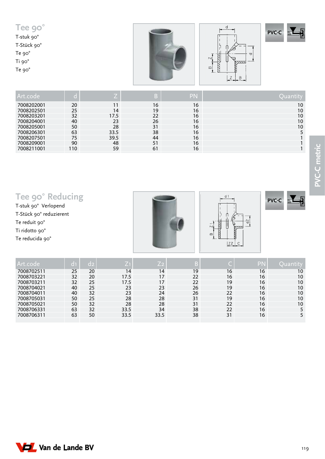| Tee 90°<br>T-stuk 90°<br>T-Stück 90°<br>Te 90°<br>Te 90° |  | <b>Lating Comment</b><br>ь<br>⊽.<br>R<br>$\sim$<br>W<br>77777<br>$\infty$<br>$\overline{ }$<br>$\overline{B}$ | $\mathbb{R}^n$<br><b>PVC-C</b><br>$\varpi$ , |
|----------------------------------------------------------|--|---------------------------------------------------------------------------------------------------------------|----------------------------------------------|
|----------------------------------------------------------|--|---------------------------------------------------------------------------------------------------------------|----------------------------------------------|

| Art.code   |     |      | B  | PN | Quanti |
|------------|-----|------|----|----|--------|
| 7008202001 | 20  |      | 16 | 16 | 10     |
| 7008202501 | 25  | 14   | 19 | 16 | 10     |
| 7008203201 | 32  | 17.5 | 22 | 16 | 10     |
| 7008204001 | 40  | 23   | 26 | 16 | 10     |
| 7008205001 | 50  | 28   | 31 | 16 | 10     |
| 7008206301 | 63  | 33.5 | 38 | 16 |        |
| 7008207501 | 75  | 39.5 | 44 | 16 |        |
| 7008209001 | 90  | 48   | 51 | 16 |        |
| 7008211001 | 110 | 59   | 61 | 16 |        |

| Tee 90° Reducing<br>T-stuk 90° Verlopend<br>T-Stück 90° reduzierent<br>Te reduit 90°<br>Ti ridotto 90°<br>Te reducida 90° |                |                |                |                |    | d <sub>1</sub><br>222<br>$\overline{z}$<br>$\infty$<br>Z2 | $\sim$<br>ರ<br>$\varpi$ | <b>PVC-C</b> |
|---------------------------------------------------------------------------------------------------------------------------|----------------|----------------|----------------|----------------|----|-----------------------------------------------------------|-------------------------|--------------|
| Art.code                                                                                                                  | d <sub>1</sub> | d <sub>2</sub> | Z <sub>1</sub> | Z <sub>2</sub> | B  |                                                           | <b>PN</b>               | Quantity     |
| 7008702511                                                                                                                | 25             | 20             | 14             | 14             | 19 | 16                                                        | 16                      | 10           |
| 7008703221                                                                                                                | 32             | 20             | 17.5           | 17             | 22 | 16                                                        | 16                      | 10           |
| 7008703211                                                                                                                | 32             | 25             | 17.5           | 17             | 22 | 19                                                        | 16                      | 10           |
| 7008704021                                                                                                                | 40             | 25             | 23             | 23             | 26 | 19                                                        | 16                      | 10           |
| 7008704011                                                                                                                | 40             | 32             | 23             | 24             | 26 | 22                                                        | 16                      | 10           |
| 7008705031                                                                                                                | 50             | 25             | 28             | 28             | 31 | 19                                                        | 16                      | 10           |
| 7008705021                                                                                                                | 50             | 32             | 28             | 28             | 31 | 22                                                        | 16                      | 10           |

7008706331 63 32 33.5 34 38 22 16 5 7008706311 63 50 33.5 33.5 38 31 16 5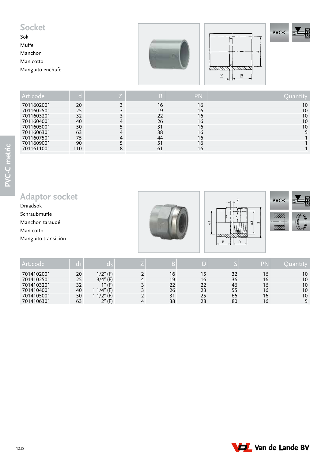#### **Socket**

Sok Muffe Manchon Manicotto Manguito enchufe







| Art.code   |     |   | В  | PN | Quantity |
|------------|-----|---|----|----|----------|
| 7011602001 | 20  |   | 16 | 16 | 10       |
| 7011602501 | 25  |   | 19 | 16 | 10       |
| 7011603201 | 32  |   | 22 | 16 | 10       |
| 7011604001 | 40  |   | 26 | 16 | 10       |
| 7011605001 | 50  |   | 31 | 16 | 10       |
| 7011606301 | 63  |   | 38 | 16 |          |
| 7011607501 | 75  |   | 44 | 16 |          |
| 7011609001 | 90  |   | 51 | 16 |          |
| 7011611001 | 110 | 8 | 61 | 16 |          |

## **Adaptor socket**

Draadsok Schraubmuffe Manchon taraudé Manicotto Manguito transición







| l Art code |    | n Bo        |    |    |    | 20 N |    |
|------------|----|-------------|----|----|----|------|----|
| 7014102001 | 20 | $1/2$ " (F) | 16 |    | 32 | 16   | 10 |
| 7014102501 | 25 | $3/4''$ (F) | 19 | 16 | 36 | 16   | 10 |
| 7014103201 | 32 | $1''$ (F)   | 22 | 22 | 46 | 16   | 10 |
| 7014104001 | 40 | (74'' (F))  | 26 | 23 | 55 | 16   | 10 |
| 7014105001 | 50 | 12"<br>(F)  | 31 | 25 | 66 | 16   | 10 |
| 7014106301 | 63 | $2''$ (F)   | 38 | 28 | 80 | 16   |    |

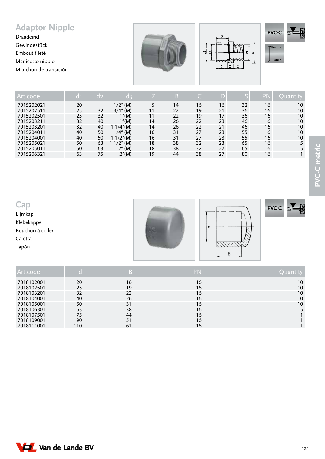### **Adaptor Nipple**

Draadeind Gewindestück Embout fileté Manicotto nipplo Manchon de transición







| Art.code   | a1 | d2 | 70 P        |    |    |    | D  |    | PN |    |
|------------|----|----|-------------|----|----|----|----|----|----|----|
| 7015202021 | 20 |    | $1/2$ " (M) | 5  | 14 | 16 | 16 | 32 | 16 | 10 |
| 7015202511 | 25 | 32 | $3/4''$ (M) | 11 | 22 | 19 | 21 | 36 | 16 | 10 |
| 7015202501 | 25 | 32 | 1''(M)      | 11 | 22 | 19 | 17 | 36 | 16 | 10 |
| 7015203211 | 32 | 40 | 1''(M)      | 14 | 26 | 22 | 23 | 46 | 16 | 10 |
| 7015203201 | 32 | 40 | 1 1/4"(M)   | 14 | 26 | 22 | 21 | 46 | 16 | 10 |
| 7015204011 | 40 | 50 | 1 1/4" (M)  | 16 | 31 | 27 | 23 | 55 | 16 | 10 |
| 7015204001 | 40 | 50 | 1 1/2"(M)   | 16 | 31 | 27 | 23 | 55 | 16 | 10 |
| 7015205021 | 50 | 63 | $1/2$ " (M) | 18 | 38 | 32 | 23 | 65 | 16 |    |
| 7015205011 | 50 | 63 | $2''$ (M)   | 18 | 38 | 32 | 27 | 65 | 16 |    |
| 7015206321 | 63 | 75 | 2''(M)      | 19 | 44 | 38 | 27 | 80 | 16 |    |

**Cap**

Lijmkap Klebekappe

Bouchon à coller

Calotta

Tapón







| PN | $\sqrt{\mathsf{Quantity}}$ |
|----|----------------------------|

| Art.code   |     | B. | PN | Ouantity        |
|------------|-----|----|----|-----------------|
| 7018102001 | 20  | 16 | 16 | 10 <sup>°</sup> |
| 7018102501 | 25  | 19 | 16 | 10              |
| 7018103201 | 32  | 22 | 16 | 10              |
| 7018104001 | 40  | 26 | 16 | 10              |
| 7018105001 | 50  | 31 | 16 | 10              |
| 7018106301 | 63  | 38 | 16 |                 |
| 7018107501 | 75  | 44 | 16 |                 |
| 7018109001 | 90  | 51 | 16 |                 |
| 7018111001 | 110 | 61 | 16 |                 |

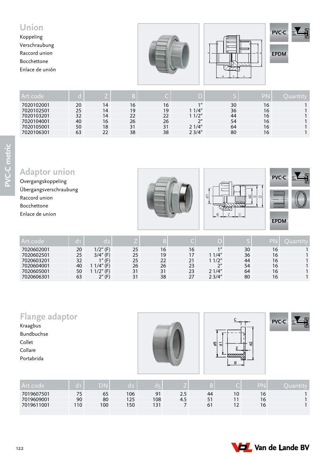#### **Union** Koppeling Verschraubung Raccord union Bocchettone Enlace de unión  $B \cup C$   $Z \cup C$ ব **EPDM PVC-C**

| Art.code   |    |    |              |    |                    |    | PN |  |
|------------|----|----|--------------|----|--------------------|----|----|--|
| 7020102001 | 20 | 14 | 16           | 16 | $1$ $\prime\prime$ | 30 | 16 |  |
| 7020102501 | 25 | 14 | 19           | 19 | 1/4''              | 36 | 16 |  |
| 7020103201 | 32 | 14 | $22^{\circ}$ | 22 | 1/2"               | 44 | 16 |  |
| 7020104001 | 40 | 16 | 26           | 26 | $\gamma$           | 54 | 16 |  |
| 7020105001 | 50 | 18 | 31           | 31 | 21/4"              | 64 | 16 |  |
| 7020106301 | 63 | 22 | 38           | 38 | 23/4"              | 80 | 16 |  |
|            |    |    |              |    |                    |    |    |  |

#### **Adaptor union**

Overgangskoppeling Übergangsverschraubung Raccord union Bocchettone Enlace de union







**EPDM**

| Art.code   |    | 12          |    |    |    |                    |    |    |  |
|------------|----|-------------|----|----|----|--------------------|----|----|--|
| 7020602001 | 20 | 1/2" (F)    | 25 | 16 | 16 | $1$ $\prime\prime$ | 30 | 16 |  |
| 7020602501 | 25 | $3/4''$ (F) | 25 | 19 | 17 | 11/4"              | 36 | 16 |  |
| 7020603201 | 32 | $1''$ (F)   | 25 | 22 | 21 | 11/2"              | 44 | 16 |  |
| 7020604001 | 40 | 1/4" (F)    | 26 | 26 | 23 | $2^{\prime\prime}$ | 54 | 16 |  |
| 7020605001 | 50 | 1/2" (F)    | 31 | 31 | 23 | 21/4"              | 64 | 16 |  |
| 7020606301 | 63 | $2''$ (F)   |    | 38 | 27 | 23/4"              | 80 | 16 |  |

| <b>Flange adaptor</b><br>Kraagbus<br>Bundbuchse<br>Collet<br>Collare<br>Portabrida |                |      |                |     | 6<br>$\mathbf{v}$ | я | 쉎         | <b>PVC-C</b> | $\overline{\mathbb{M}}$<br>M |
|------------------------------------------------------------------------------------|----------------|------|----------------|-----|-------------------|---|-----------|--------------|------------------------------|
| Artcode                                                                            | $\overline{d}$ | - DN | $\overline{d}$ | dE. | D)                |   | <b>PN</b> |              | Quantity                     |

| Art.code   |          |                  |     |                |        |                     | - 1 |    |  |
|------------|----------|------------------|-----|----------------|--------|---------------------|-----|----|--|
| 7019607501 | <u>.</u> | 65               | 106 | Q <sub>1</sub> | 2.3    | 44                  | 10  | 16 |  |
| 7019609001 | 90       | 80               | 125 | 108            | $-4.5$ | F <sub>1</sub><br>ັ | 11  | 16 |  |
| 7019611001 | 110      | 100 <sub>1</sub> | 150 | 131            |        |                     | 1つ  | 16 |  |
|            |          |                  |     |                |        |                     |     |    |  |

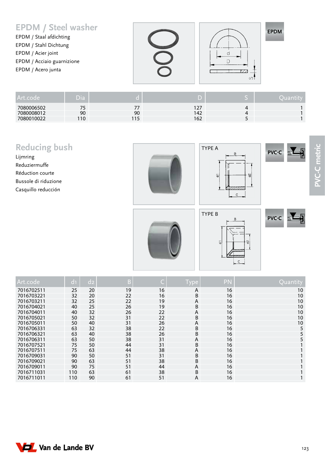#### **EPDM / Steel washer**

EPDM / Staal afdichting EPDM / Stahl Dichtung EPDM / Acier joint EPDM / Acciaio guarnizione EPDM / Acero junta





| Art.code   | Dia |    |     |              | <b>Mantity</b> |
|------------|-----|----|-----|--------------|----------------|
| 7080006502 |     |    |     | $\mathbf{u}$ |                |
| 7080008012 | 90  | 90 | 142 | $\Delta$     |                |
| 7080010022 | 110 |    | 162 |              |                |

### **Reducing bush**

**Van de Lande BV** 

Lijmring Reduziermuffe Réduction courte Bussole di riduzione Casquillo reducción







EPDM





| Art.code   | d <sub>1</sub> | $d_{2}$ | B  | ۲  | Type | <b>PN</b> | Quantity |
|------------|----------------|---------|----|----|------|-----------|----------|
| 7016702511 | 25             | 20      | 19 | 16 | A    | 16        | 10       |
| 7016703221 | 32             | 20      | 22 | 16 | B    | 16        | 10       |
| 7016703211 | 32             | 25      | 22 | 19 | A    | 16        | 10       |
| 7016704021 | 40             | 25      | 26 | 19 | B    | 16        | 10       |
| 7016704011 | 40             | 32      | 26 | 22 | A    | 16        | 10       |
| 7016705021 | 50             | 32      | 31 | 22 | B    | 16        | 10       |
| 7016705011 | 50             | 40      | 31 | 26 | A    | 16        | 10       |
| 7016706331 | 63             | 32      | 38 | 22 | B    | 16        | 5        |
| 7016706321 | 63             | 40      | 38 | 26 | B    | 16        | 5        |
| 7016706311 | 63             | 50      | 38 | 31 | A    | 16        | 5.       |
| 7016707521 | 75             | 50      | 44 | 31 | B    | 16        |          |
| 7016707511 | 75             | 63      | 44 | 38 | A    | 16        |          |
| 7016709031 | 90             | 50      | 51 | 31 | B    | 16        |          |
| 7016709021 | 90             | 63      | 51 | 38 | B    | 16        |          |
| 7016709011 | 90             | 75      | 51 | 44 | A    | 16        |          |
| 7016711031 | 110            | 63      | 61 | 38 | B    | 16        |          |
| 7016711011 | 110            | 90      | 61 | 51 | A    | 16        |          |

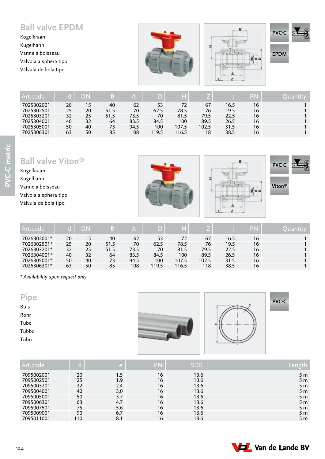#### **Ball valve EPDM**

Kogelkraan Kugelhahn Vanne à boisseau Valvola a sphera tipo Válvula de bola tipo







**EPDM**

| Art.code   |    |    | B.   | m    | D     | T.<br>m. |       |      | PN | uan |
|------------|----|----|------|------|-------|----------|-------|------|----|-----|
| 7025302001 | 20 | 15 | 40   | 62   | 53    | 72       | 67    | 16.5 | 16 |     |
| 7025302501 | 25 | 20 | 51.5 | 70   | 62.5  | 78.5     | 76    | 19.5 | 16 |     |
| 7025303201 | 32 | 25 | 51.5 | 73.5 | 70    | 81.5     | 79.5  | 22.5 | 16 |     |
| 7025304001 | 40 | 32 | 64   | 83.5 | 84.5  | 100      | 89.5  | 26.5 | 16 |     |
| 7025305001 | 50 | 40 | 73   | 94.5 | 100   | 107.5    | 102.5 | 31.5 | 16 |     |
| 7025306301 | 63 | 50 | 85   | 108  | 119.5 | 16.5     | 118   | 38.5 | 16 |     |
|            |    |    |      |      |       |          |       |      |    |     |

**Ball valve Viton®**

Kogelkraan Kugelhahn Vanne à boisseau Valvola a sphera tipo Válvula de bola tipo







**Viton®**

| Art.code    |    | D١ |      | m    |       | H     |       |      | PN | Juantity |
|-------------|----|----|------|------|-------|-------|-------|------|----|----------|
| 7026302001* | 20 | 15 | 40   | 62   | 53    | 72    | 67    | 16.5 | 16 |          |
| 7026302501* | 25 | 20 | 51.5 | 70   | 62.5  | 78.5  | 76    | 19.5 | 16 |          |
| 7026303201* | 32 | 25 | 51.5 | 73.5 | 70    | 81.5  | 79.5  | 22.5 | 16 |          |
| 7026304001* | 40 | 32 | 64   | 83.5 | 84.5  | 100   | 89.5  | 26.5 | 16 |          |
| 7026305001* | 50 | 40 | 73   | 94.5 | 100   | 107.5 | 102.5 | 31.5 | 16 |          |
| 7026306301* | 63 | 50 | 85   | 108  | 119.5 | 116.5 | 118   | 38.5 | 16 |          |

*\* Availability upon request only*

| <b>Buis</b> |  |
|-------------|--|
| Rohr        |  |
| Tube        |  |
| Tubbo       |  |
| Tubo        |  |
|             |  |





| Art.code   |     | e '     | PN | SDR  | Le l           |
|------------|-----|---------|----|------|----------------|
| 7095002001 | 20  | $1.5\,$ | 16 | 13.6 | 5 <sub>m</sub> |
| 7095002501 | 25  | 1.9     | 16 | 13.6 | 5 <sub>m</sub> |
| 7095003201 | 32  | 2.4     | 16 | 13.6 | 5 <sub>m</sub> |
| 7095004001 | 40  | 3.0     | 16 | 13.6 | 5 <sub>m</sub> |
| 7095005001 | 50  | 3.7     | 16 | 13.6 | 5 <sub>m</sub> |
| 7095006301 | 63  | 4.7     | 16 | 13.6 | 5 <sub>m</sub> |
| 7095007501 | 75  | 5.6     | 16 | 13.6 | 5 <sub>m</sub> |
| 7095009001 | 90  | 6.7     | 16 | 13.6 | 5 <sub>m</sub> |
| 7095011001 | 110 | 8.1     | 16 | 13.6 | 5 <sub>m</sub> |

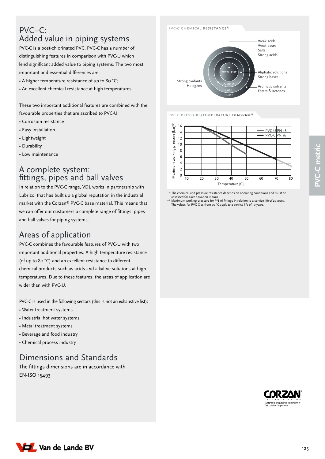#### PVC–C: Added value in piping systems

PVC-C is a post-chlorinated PVC. PVC-C has a number of distinguishing features in comparison with PVC-U which lend significant added value to piping systems. The two most important and essential differences are:

- A higher temperature resistance of up to 80 °C;
- An excellent chemical resistance at high temperatures.

These two important additional features are combined with the favourable properties that are ascribed to PVC-U:

- Corrosion resistance
- Easy installation
- Lightweight
- Durability
- Low maintenance

#### A complete system: fittings, pipes and ball valves

In relation to the PVC-C range, VDL works in partnership with Lubrizol that has built up a global reputation in the industrial market with the Corzan® PVC-C base material. This means that we can offer our customers a complete range of fittings, pipes and ball valves for piping systems.

#### Areas of application

PVC-C combines the favourable features of PVC-U with two important additional properties. A high temperature resistance (of up to 80 °C) and an excellent resistance to different chemical products such as acids and alkaline solutions at high temperatures. Due to these features, the areas of application are wider than with PVC-U.

PVC-C is used in the following sectors (this is not an exhaustive list):

- Water treatment systems
- Industrial hot water systems
- Metal treatment systems
- Beverage and food industry
- Chemical process industry

#### Dimensions and Standards

The fittings dimensions are in accordance with EN-ISO 15493



pvc-c pressure/temperature diagram\*



\*\* The chemical and pressure resistance depends on operating conditions and must be

assessed for each situation in turn.<br>\*\* Maximum working pressure for PN 16 fittings in relation to a service life of 25 years.<br>The values for PVC-C as from 70 °C apply to a service life of 10 years.



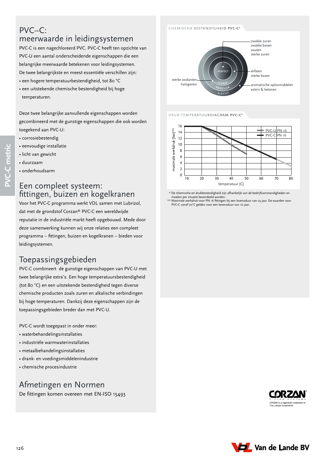#### PVC–C: meerwaarde in leidingsystemen

PVC-C is een nagechloreerd PVC. PVC-C heeft ten opzichte van PVC-U een aantal onderscheidende eigenschappen die een belangrijke meerwaarde betekenen voor leidingsystemen. De twee belangrijkste en meest essentiële verschillen zijn:

- een hogere temperatuurbestendigheid, tot 80 °C
- een uitstekende chemische bestendigheid bij hoge temperaturen.

Deze twee belangrijke aanvullende eigenschappen worden gecombineerd met de gunstige eigenschappen die ook worden toegekend aan PVC-U:

- corrosiebestendig
- eenvoudige installatie
- licht van gewicht
- duurzaam

**PVC-C metric**

C-C metric

• onderhoudsarm

#### Een compleet systeem: fittingen, buizen en kogelkranen

Voor het PVC-C programma werkt VDL samen met Lubrizol, dat met de grondstof Corzan® PVC-C een wereldwijde reputatie in de industriële markt heeft opgebouwd. Mede door deze samenwerking kunnen wij onze relaties een compleet programma – fittingen, buizen en kogelkranen – bieden voor leidingsystemen.

#### Toepassingsgebieden

PVC-C combineert de gunstige eigenschappen van PVC-U met twee belangrijke extra's. Een hoge temperatuursbestendigheid (tot 80 °C) en een uitstekende bestendigheid tegen diverse chemische producten zoals zuren en alkalische verbindingen bij hoge temperaturen. Dankzij deze eigenschappen zijn de toepassingsgebieden breder dan met PVC-U.

PVC-C wordt toegepast in onder meer:

- waterbehandelingsinstallaties
- industriële warmwaterinstallaties
- metaalbehandelingsinstallaties
- drank- en voedingsmiddelenindustrie
- chemische procesindustrie

#### Afmetingen en Normen

De fittingen komen overeen met EN-ISO 15493



druk-temperatuurdiagram pvc-c\*



\*\* De chemische en drukbestendigheid zijn afhankelijk van de bedrijfsomstandigheden en

moeten per situatie beoordeeld worden.<br>\*\* Maximale werkdruk voor PN 16 fittingen bij een levensduur van 25 jaar. De waarden voor<br>PVC-C vanaf 70°C gelden voor een levensduur van 10 jaar.



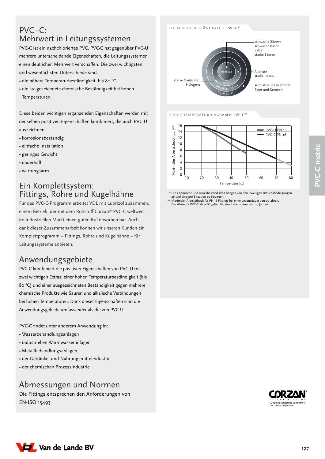# D Van de Lande BV

#### PVC–C: Mehrwert in Leitungssystemen

PVC-C ist ein nachchloriertes PVC. PVC-C hat gegenüber PVC-U mehrere unterscheidende Eigenschaften, die Leitungssystemen einen deutlichen Mehrwert verschaffen. Die zwei wichtigsten und wesentlichsten Unterschiede sind:

- die höhere Temperaturbeständigkeit, bis 80 °C
- die ausgezeichnete chemische Beständigkeit bei hohen Temperaturen.

Diese beiden wichtigen ergänzenden Eigenschaften werden mit denselben positiven Eigenschaften kombiniert, die auch PVC-U auszeichnen:

- korrosionsbeständig
- einfache Installation
- geringes Gewicht
- dauerhaft
- wartungsarm

#### Ein Komplettsystem: Fittings, Rohre und Kugelhähne

Für das PVC-C-Programm arbeitet VDL mit Lubrizol zusammen, einem Betrieb, der mit dem Rohstoff Corzan® PVC-C weltweit im industriellen Markt einen guten Ruf erworben hat. Auch dank dieser Zusammenarbeit können wir unseren Kunden ein Komplettprogramm – Fittings, Rohre und Kugelhähne – für Leitungssysteme anbieten.

#### Anwendungsgebiete

PVC-C kombiniert die positiven Eigenschaften von PVC-U mit zwei wichtigen Extras: einer hohen Temperaturbeständigkeit (bis 80 °C) und einer ausgezeichneten Beständigkeit gegen mehrere chemische Produkte wie Säuren und alkalische Verbindungen bei hohen Temperaturen. Dank dieser Eigenschaften sind die Anwendungsgebiete umfassender als die von PVC-U.

PVC-C findet unter anderem Anwendung in:

- Wasserbehandlungsanlagen
- industriellen Warmwasseranlagen
- Metallbehandlungsanlagen
- der Getränke- und Nahrungsmittelindustrie
- der chemischen Prozessindustrie

#### Abmessungen und Normen

Die Fittings entsprechen den Anforderungen von EN-ISO 15493

PERFECT Aliphate starke Basen aromatische Lösemittel starke Oxidantien Halogene

SCHLECHT

schwache Säuren schwache Basen Salze starke Säuren

Ester und Ketonen

druck-temperaturdiagramm pvc-c\*



\*\* Die Chemische und Druckbeständigkeit hängen von den jeweiligen Betriebsbedingungen

ab und sind pro Situation zu bewerten. \*\* Maximaler Arbeitsdruck für PN 16 Fittings bei einer Lebensdauer von 25 Jahren. Die Werte für PVC-C ab 70°C gelten für eine Lebensdauer von 10 Jahren.



127